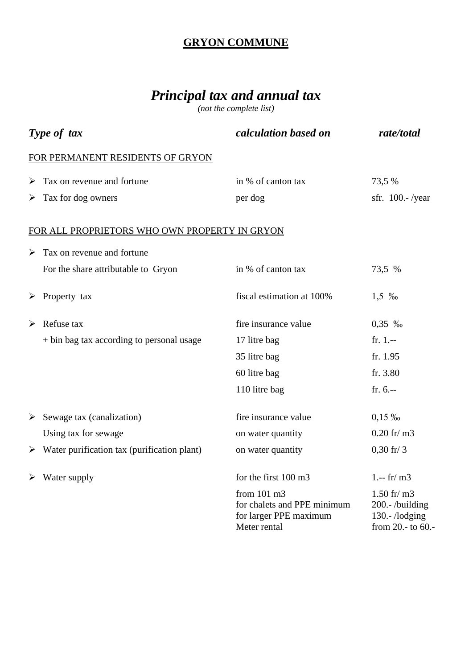## **GRYON COMMUNE**

## *Principal tax and annual tax*

*(not the complete list)*

| Type of tax |                                                              | calculation based on                                                                            | rate/total                                                                         |
|-------------|--------------------------------------------------------------|-------------------------------------------------------------------------------------------------|------------------------------------------------------------------------------------|
|             | FOR PERMANENT RESIDENTS OF GRYON                             |                                                                                                 |                                                                                    |
| ➤           | Tax on revenue and fortune                                   | in % of canton tax                                                                              | 73,5 %                                                                             |
|             | $\triangleright$ Tax for dog owners                          | per dog                                                                                         | sfr. $100$ . - /year                                                               |
|             | FOR ALL PROPRIETORS WHO OWN PROPERTY IN GRYON                |                                                                                                 |                                                                                    |
| ➤           | Tax on revenue and fortune                                   |                                                                                                 |                                                                                    |
|             | For the share attributable to Gryon                          | in % of canton tax                                                                              | 73,5 %                                                                             |
|             | $\triangleright$ Property tax                                | fiscal estimation at 100%                                                                       | $1,5 \, \%$                                                                        |
|             | $\triangleright$ Refuse tax                                  | fire insurance value                                                                            | $0,35$ %                                                                           |
|             | + bin bag tax according to personal usage                    | 17 litre bag                                                                                    | $fr. 1. -$                                                                         |
|             |                                                              | 35 litre bag                                                                                    | fr. 1.95                                                                           |
|             |                                                              | 60 litre bag                                                                                    | fr. 3.80                                                                           |
|             |                                                              | 110 litre bag                                                                                   | fr. $6. - -$                                                                       |
|             | $\triangleright$ Sewage tax (canalization)                   | fire insurance value                                                                            | $0,15\%$                                                                           |
|             | Using tax for sewage                                         | on water quantity                                                                               | $0.20$ fr/m3                                                                       |
|             | $\triangleright$ Water purification tax (purification plant) | on water quantity                                                                               | $0,30$ fr/ 3                                                                       |
|             | $\triangleright$ Water supply                                | for the first 100 m3                                                                            | 1.-- $\text{fr}/\text{m}3$                                                         |
|             |                                                              | from $101 \text{ m}$ 3<br>for chalets and PPE minimum<br>for larger PPE maximum<br>Meter rental | $1.50$ fr/ m3<br>200 .- /building<br>130.- $\Lambda$ odging<br>from $20.-$ to 60.- |